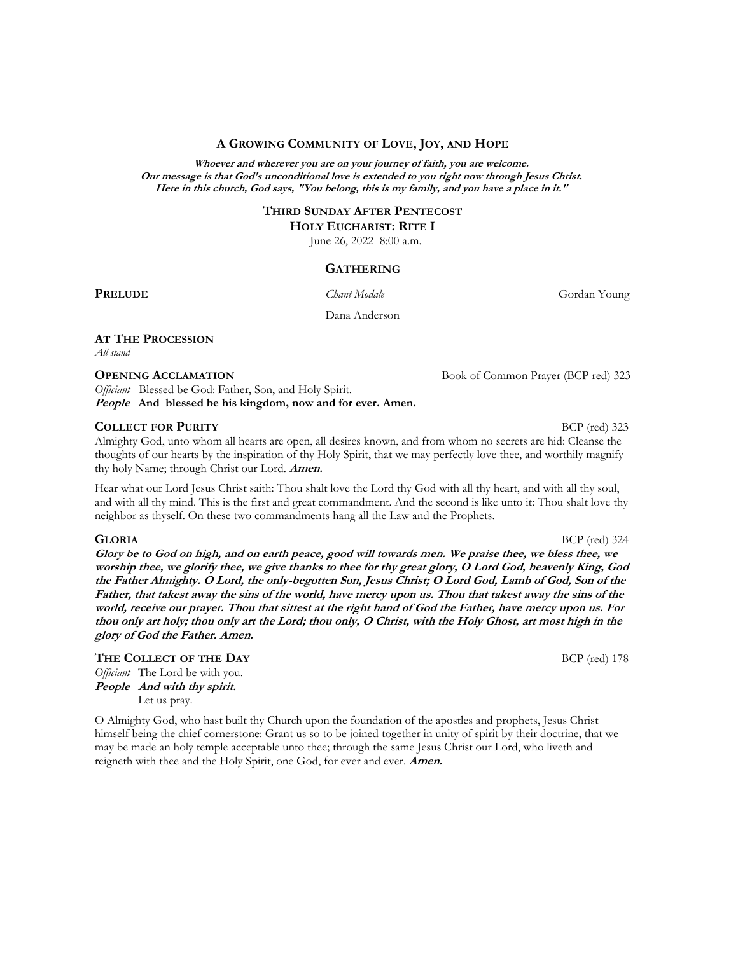## A GROWING COMMUNITY OF LOVE, JOY, AND HOPE

Whoever and wherever you are on your journey of faith, you are welcome. Our message is that God's unconditional love is extended to you right now through Jesus Christ. Here in this church, God says, "You belong, this is my family, and you have a place in it."

# THIRD SUNDAY AFTER PENTECOST

HOLY EUCHARIST: RITE I

June 26, 2022 8:00 a.m.

## **GATHERING**

Dana Anderson

**PRELUDE** Chant Modale Chant Modale Gordan Young

AT THE PROCESSION All stand

**OPENING ACCLAMATION** Book of Common Prayer (BCP red) 323

Officiant Blessed be God: Father, Son, and Holy Spirit. People And blessed be his kingdom, now and for ever. Amen.

## **COLLECT FOR PURITY** BCP (red) 323

Almighty God, unto whom all hearts are open, all desires known, and from whom no secrets are hid: Cleanse the thoughts of our hearts by the inspiration of thy Holy Spirit, that we may perfectly love thee, and worthily magnify thy holy Name; through Christ our Lord. **Amen.** 

Hear what our Lord Jesus Christ saith: Thou shalt love the Lord thy God with all thy heart, and with all thy soul, and with all thy mind. This is the first and great commandment. And the second is like unto it: Thou shalt love thy neighbor as thyself. On these two commandments hang all the Law and the Prophets.

# GLORIA BCP (red) 324

Glory be to God on high, and on earth peace, good will towards men. We praise thee, we bless thee, we worship thee, we glorify thee, we give thanks to thee for thy great glory, O Lord God, heavenly King, God the Father Almighty. O Lord, the only-begotten Son, Jesus Christ; O Lord God, Lamb of God, Son of the Father, that takest away the sins of the world, have mercy upon us. Thou that takest away the sins of the world, receive our prayer. Thou that sittest at the right hand of God the Father, have mercy upon us. For thou only art holy; thou only art the Lord; thou only, O Christ, with the Holy Ghost, art most high in the glory of God the Father. Amen.

THE COLLECT OF THE DAY BCP (red) 178 Officiant The Lord be with you. People And with thy spirit. Let us pray.

O Almighty God, who hast built thy Church upon the foundation of the apostles and prophets, Jesus Christ himself being the chief cornerstone: Grant us so to be joined together in unity of spirit by their doctrine, that we may be made an holy temple acceptable unto thee; through the same Jesus Christ our Lord, who liveth and reigneth with thee and the Holy Spirit, one God, for ever and ever. Amen.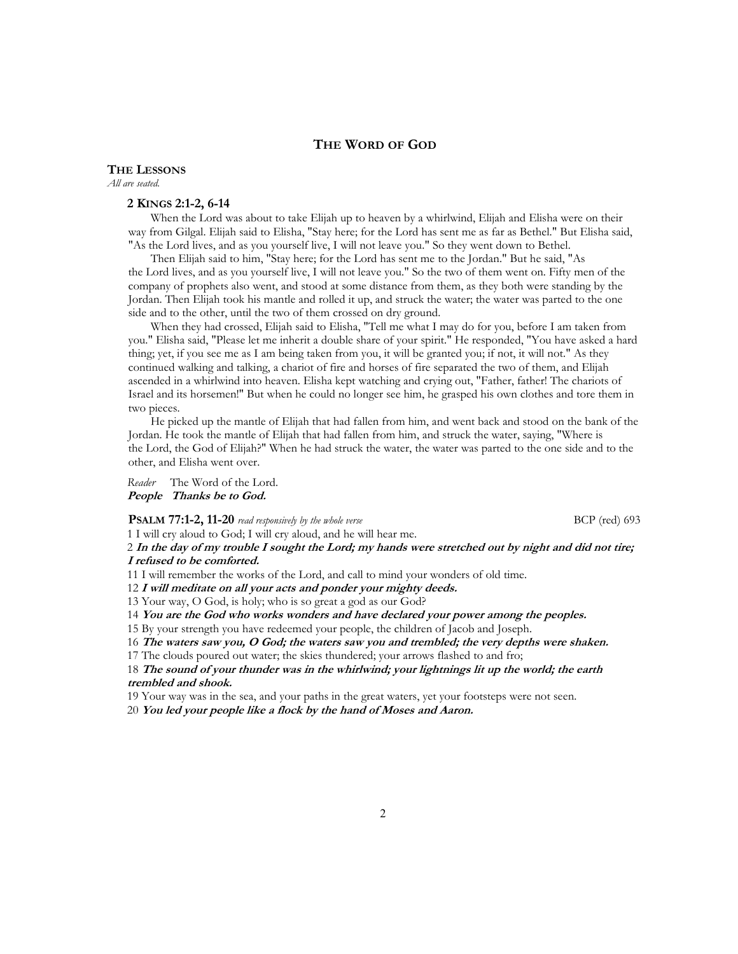# THE WORD OF GOD

### THE LESSONS

All are seated.

## 2 KINGS 2:1-2, 6-14

 When the Lord was about to take Elijah up to heaven by a whirlwind, Elijah and Elisha were on their way from Gilgal. Elijah said to Elisha, "Stay here; for the Lord has sent me as far as Bethel." But Elisha said, "As the Lord lives, and as you yourself live, I will not leave you." So they went down to Bethel.

 Then Elijah said to him, "Stay here; for the Lord has sent me to the Jordan." But he said, "As the Lord lives, and as you yourself live, I will not leave you." So the two of them went on. Fifty men of the company of prophets also went, and stood at some distance from them, as they both were standing by the Jordan. Then Elijah took his mantle and rolled it up, and struck the water; the water was parted to the one side and to the other, until the two of them crossed on dry ground.

 When they had crossed, Elijah said to Elisha, "Tell me what I may do for you, before I am taken from you." Elisha said, "Please let me inherit a double share of your spirit." He responded, "You have asked a hard thing; yet, if you see me as I am being taken from you, it will be granted you; if not, it will not." As they continued walking and talking, a chariot of fire and horses of fire separated the two of them, and Elijah ascended in a whirlwind into heaven. Elisha kept watching and crying out, "Father, father! The chariots of Israel and its horsemen!" But when he could no longer see him, he grasped his own clothes and tore them in two pieces.

 He picked up the mantle of Elijah that had fallen from him, and went back and stood on the bank of the Jordan. He took the mantle of Elijah that had fallen from him, and struck the water, saying, "Where is the Lord, the God of Elijah?" When he had struck the water, the water was parted to the one side and to the other, and Elisha went over.

Reader The Word of the Lord. People Thanks be to God.

**PSALM 77:1-2, 11-20** read responsively by the whole verse BCP (red) 693

1 I will cry aloud to God; I will cry aloud, and he will hear me.

2 In the day of my trouble I sought the Lord; my hands were stretched out by night and did not tire; I refused to be comforted.

11 I will remember the works of the Lord, and call to mind your wonders of old time.

12 I will meditate on all your acts and ponder your mighty deeds.

13 Your way, O God, is holy; who is so great a god as our God?

14 You are the God who works wonders and have declared your power among the peoples.

15 By your strength you have redeemed your people, the children of Jacob and Joseph.

16 The waters saw you, O God; the waters saw you and trembled; the very depths were shaken.

17 The clouds poured out water; the skies thundered; your arrows flashed to and fro;

18 The sound of your thunder was in the whirlwind; your lightnings lit up the world; the earth trembled and shook.

19 Your way was in the sea, and your paths in the great waters, yet your footsteps were not seen.

20 You led your people like a flock by the hand of Moses and Aaron.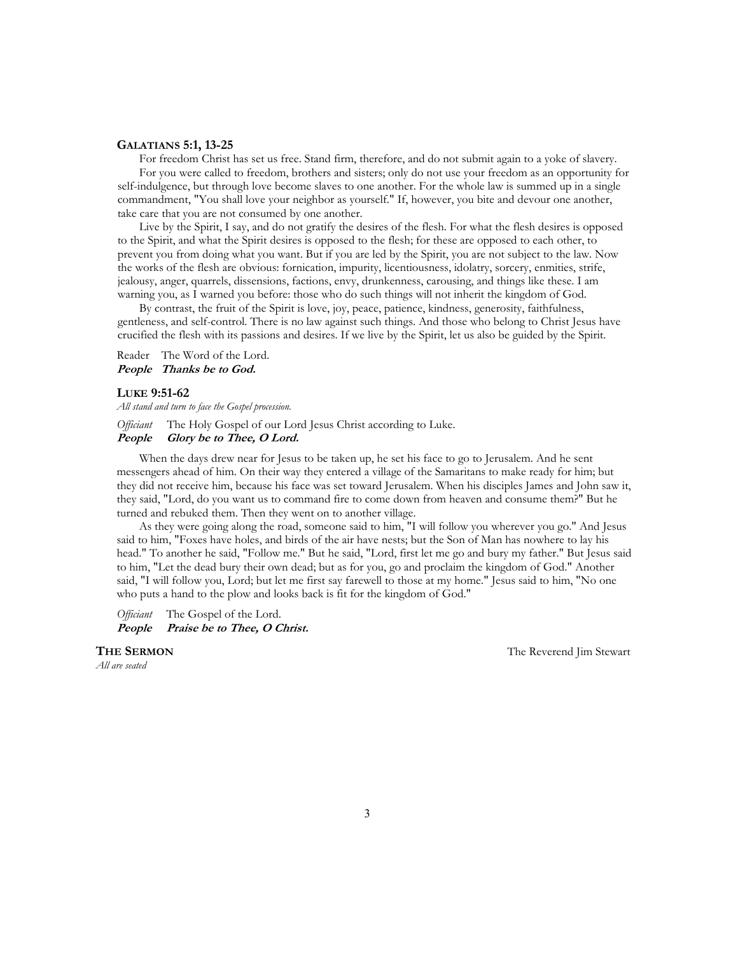## GALATIANS 5:1, 13-25

For freedom Christ has set us free. Stand firm, therefore, and do not submit again to a yoke of slavery. For you were called to freedom, brothers and sisters; only do not use your freedom as an opportunity for self-indulgence, but through love become slaves to one another. For the whole law is summed up in a single commandment, "You shall love your neighbor as yourself." If, however, you bite and devour one another, take care that you are not consumed by one another.

 Live by the Spirit, I say, and do not gratify the desires of the flesh. For what the flesh desires is opposed to the Spirit, and what the Spirit desires is opposed to the flesh; for these are opposed to each other, to prevent you from doing what you want. But if you are led by the Spirit, you are not subject to the law. Now the works of the flesh are obvious: fornication, impurity, licentiousness, idolatry, sorcery, enmities, strife, jealousy, anger, quarrels, dissensions, factions, envy, drunkenness, carousing, and things like these. I am warning you, as I warned you before: those who do such things will not inherit the kingdom of God.

 By contrast, the fruit of the Spirit is love, joy, peace, patience, kindness, generosity, faithfulness, gentleness, and self-control. There is no law against such things. And those who belong to Christ Jesus have crucified the flesh with its passions and desires. If we live by the Spirit, let us also be guided by the Spirit.

Reader The Word of the Lord. People Thanks be to God.

## LUKE 9:51-62

All stand and turn to face the Gospel procession.

Officiant The Holy Gospel of our Lord Jesus Christ according to Luke.

### People Glory be to Thee, O Lord.

 When the days drew near for Jesus to be taken up, he set his face to go to Jerusalem. And he sent messengers ahead of him. On their way they entered a village of the Samaritans to make ready for him; but they did not receive him, because his face was set toward Jerusalem. When his disciples James and John saw it, they said, "Lord, do you want us to command fire to come down from heaven and consume them?" But he turned and rebuked them. Then they went on to another village.

 As they were going along the road, someone said to him, "I will follow you wherever you go." And Jesus said to him, "Foxes have holes, and birds of the air have nests; but the Son of Man has nowhere to lay his head." To another he said, "Follow me." But he said, "Lord, first let me go and bury my father." But Jesus said to him, "Let the dead bury their own dead; but as for you, go and proclaim the kingdom of God." Another said, "I will follow you, Lord; but let me first say farewell to those at my home." Jesus said to him, "No one who puts a hand to the plow and looks back is fit for the kingdom of God."

Officiant The Gospel of the Lord. People Praise be to Thee, O Christ.

All are seated

**THE SERMON** The Reverend Jim Stewart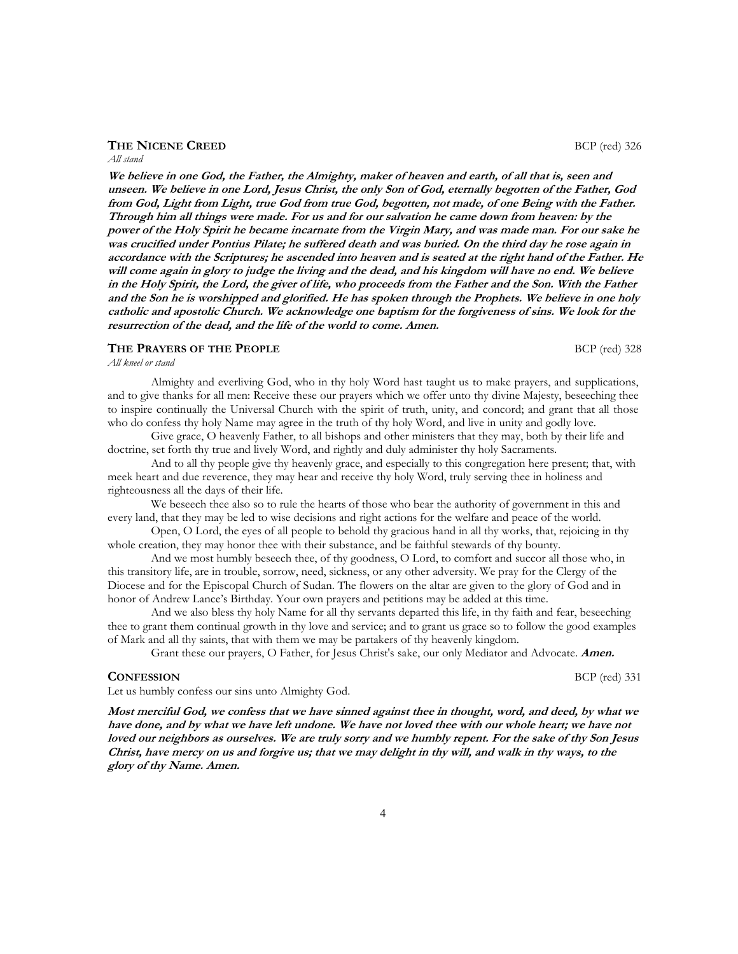### 4

# THE NICENE CREED BCP (red) 326 All stand

We believe in one God, the Father, the Almighty, maker of heaven and earth, of all that is, seen and unseen. We believe in one Lord, Jesus Christ, the only Son of God, eternally begotten of the Father, God from God, Light from Light, true God from true God, begotten, not made, of one Being with the Father. Through him all things were made. For us and for our salvation he came down from heaven: by the power of the Holy Spirit he became incarnate from the Virgin Mary, and was made man. For our sake he was crucified under Pontius Pilate; he suffered death and was buried. On the third day he rose again in accordance with the Scriptures; he ascended into heaven and is seated at the right hand of the Father. He will come again in glory to judge the living and the dead, and his kingdom will have no end. We believe in the Holy Spirit, the Lord, the giver of life, who proceeds from the Father and the Son. With the Father and the Son he is worshipped and glorified. He has spoken through the Prophets. We believe in one holy catholic and apostolic Church. We acknowledge one baptism for the forgiveness of sins. We look for the resurrection of the dead, and the life of the world to come. Amen.

# THE PRAYERS OF THE PEOPLE **BLOOMER CONTACT ASSESSMENT** BCP (red) 328

All kneel or stand

 Almighty and everliving God, who in thy holy Word hast taught us to make prayers, and supplications, and to give thanks for all men: Receive these our prayers which we offer unto thy divine Majesty, beseeching thee to inspire continually the Universal Church with the spirit of truth, unity, and concord; and grant that all those who do confess thy holy Name may agree in the truth of thy holy Word, and live in unity and godly love.

Give grace, O heavenly Father, to all bishops and other ministers that they may, both by their life and doctrine, set forth thy true and lively Word, and rightly and duly administer thy holy Sacraments.

 And to all thy people give thy heavenly grace, and especially to this congregation here present; that, with meek heart and due reverence, they may hear and receive thy holy Word, truly serving thee in holiness and righteousness all the days of their life.

We beseech thee also so to rule the hearts of those who bear the authority of government in this and every land, that they may be led to wise decisions and right actions for the welfare and peace of the world.

Open, O Lord, the eyes of all people to behold thy gracious hand in all thy works, that, rejoicing in thy whole creation, they may honor thee with their substance, and be faithful stewards of thy bounty.

 And we most humbly beseech thee, of thy goodness, O Lord, to comfort and succor all those who, in this transitory life, are in trouble, sorrow, need, sickness, or any other adversity. We pray for the Clergy of the Diocese and for the Episcopal Church of Sudan. The flowers on the altar are given to the glory of God and in honor of Andrew Lance's Birthday. Your own prayers and petitions may be added at this time.

And we also bless thy holy Name for all thy servants departed this life, in thy faith and fear, beseeching thee to grant them continual growth in thy love and service; and to grant us grace so to follow the good examples of Mark and all thy saints, that with them we may be partakers of thy heavenly kingdom.

Grant these our prayers, O Father, for Jesus Christ's sake, our only Mediator and Advocate. Amen.

## **CONFESSION** BCP (red) 331

Let us humbly confess our sins unto Almighty God.

Most merciful God, we confess that we have sinned against thee in thought, word, and deed, by what we have done, and by what we have left undone. We have not loved thee with our whole heart; we have not loved our neighbors as ourselves. We are truly sorry and we humbly repent. For the sake of thy Son Jesus Christ, have mercy on us and forgive us; that we may delight in thy will, and walk in thy ways, to the glory of thy Name. Amen.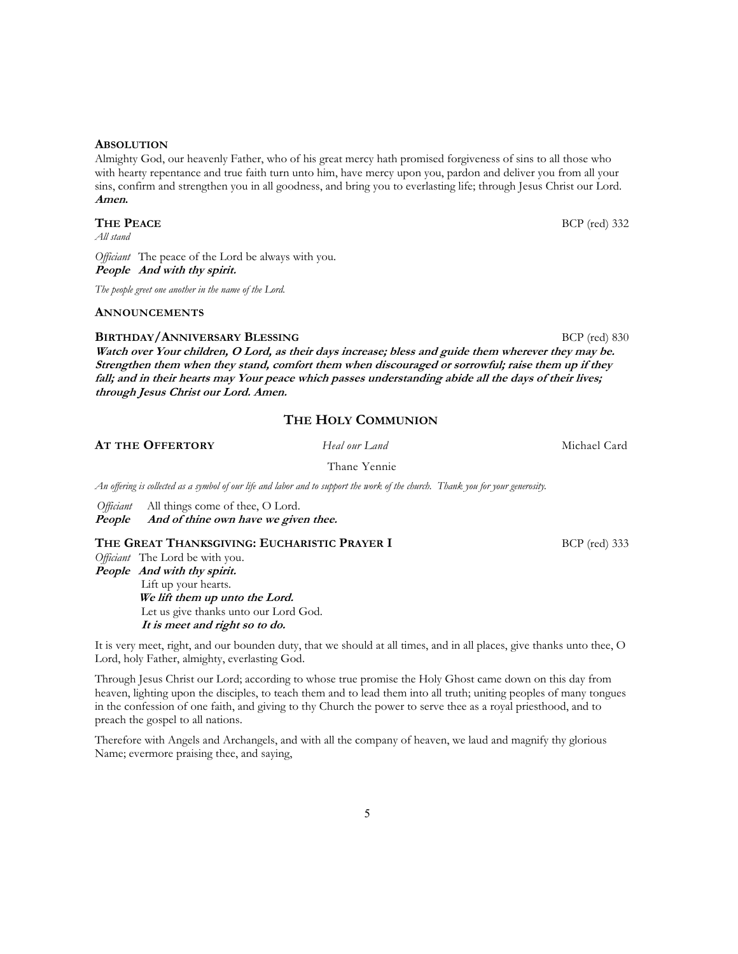# **ABSOLUTION**

Almighty God, our heavenly Father, who of his great mercy hath promised forgiveness of sins to all those who with hearty repentance and true faith turn unto him, have mercy upon you, pardon and deliver you from all your sins, confirm and strengthen you in all goodness, and bring you to everlasting life; through Jesus Christ our Lord. Amen.

THE PEACE BCP (red) 332

All stand

Officiant The peace of the Lord be always with you. People And with thy spirit.

The people greet one another in the name of the Lord.

# ANNOUNCEMENTS

BIRTHDAY/ANNIVERSARY BLESSING BCP (red) 830

Watch over Your children, O Lord, as their days increase; bless and guide them wherever they may be. Strengthen them when they stand, comfort them when discouraged or sorrowful; raise them up if they fall; and in their hearts may Your peace which passes understanding abide all the days of their lives; through Jesus Christ our Lord. Amen.

# THE HOLY COMMUNION

AT THE OFFERTORY Heal our Land Michael Card

Thane Yennie

An offering is collected as a symbol of our life and labor and to support the work of the church. Thank you for your generosity.

Officiant All things come of thee, O Lord. People And of thine own have we given thee.

# THE GREAT THANKSGIVING: EUCHARISTIC PRAYER I BCP (red) 333

Officiant The Lord be with you. People And with thy spirit. Lift up your hearts. We lift them up unto the Lord. Let us give thanks unto our Lord God. It is meet and right so to do.

It is very meet, right, and our bounden duty, that we should at all times, and in all places, give thanks unto thee, O Lord, holy Father, almighty, everlasting God.

Through Jesus Christ our Lord; according to whose true promise the Holy Ghost came down on this day from heaven, lighting upon the disciples, to teach them and to lead them into all truth; uniting peoples of many tongues in the confession of one faith, and giving to thy Church the power to serve thee as a royal priesthood, and to preach the gospel to all nations.

Therefore with Angels and Archangels, and with all the company of heaven, we laud and magnify thy glorious Name; evermore praising thee, and saying,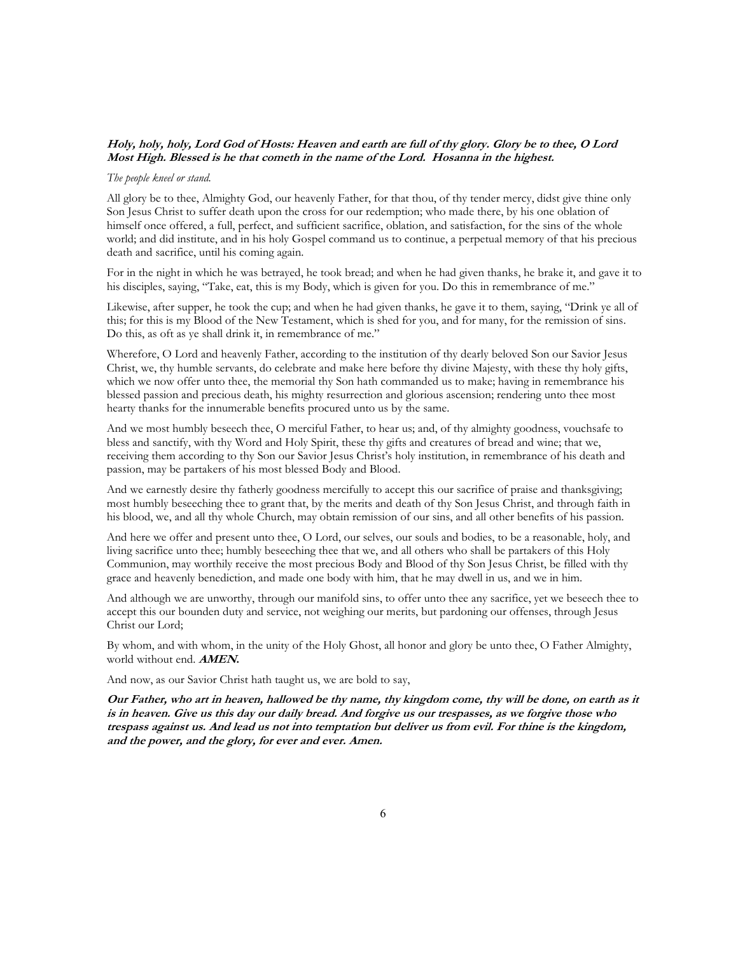# Holy, holy, holy, Lord God of Hosts: Heaven and earth are full of thy glory. Glory be to thee, O Lord Most High. Blessed is he that cometh in the name of the Lord. Hosanna in the highest.

## The people kneel or stand.

All glory be to thee, Almighty God, our heavenly Father, for that thou, of thy tender mercy, didst give thine only Son Jesus Christ to suffer death upon the cross for our redemption; who made there, by his one oblation of himself once offered, a full, perfect, and sufficient sacrifice, oblation, and satisfaction, for the sins of the whole world; and did institute, and in his holy Gospel command us to continue, a perpetual memory of that his precious death and sacrifice, until his coming again.

For in the night in which he was betrayed, he took bread; and when he had given thanks, he brake it, and gave it to his disciples, saying, "Take, eat, this is my Body, which is given for you. Do this in remembrance of me."

Likewise, after supper, he took the cup; and when he had given thanks, he gave it to them, saying, "Drink ye all of this; for this is my Blood of the New Testament, which is shed for you, and for many, for the remission of sins. Do this, as oft as ye shall drink it, in remembrance of me."

Wherefore, O Lord and heavenly Father, according to the institution of thy dearly beloved Son our Savior Jesus Christ, we, thy humble servants, do celebrate and make here before thy divine Majesty, with these thy holy gifts, which we now offer unto thee, the memorial thy Son hath commanded us to make; having in remembrance his blessed passion and precious death, his mighty resurrection and glorious ascension; rendering unto thee most hearty thanks for the innumerable benefits procured unto us by the same.

And we most humbly beseech thee, O merciful Father, to hear us; and, of thy almighty goodness, vouchsafe to bless and sanctify, with thy Word and Holy Spirit, these thy gifts and creatures of bread and wine; that we, receiving them according to thy Son our Savior Jesus Christ's holy institution, in remembrance of his death and passion, may be partakers of his most blessed Body and Blood.

 And we earnestly desire thy fatherly goodness mercifully to accept this our sacrifice of praise and thanksgiving; most humbly beseeching thee to grant that, by the merits and death of thy Son Jesus Christ, and through faith in his blood, we, and all thy whole Church, may obtain remission of our sins, and all other benefits of his passion.

And here we offer and present unto thee, O Lord, our selves, our souls and bodies, to be a reasonable, holy, and living sacrifice unto thee; humbly beseeching thee that we, and all others who shall be partakers of this Holy Communion, may worthily receive the most precious Body and Blood of thy Son Jesus Christ, be filled with thy grace and heavenly benediction, and made one body with him, that he may dwell in us, and we in him.

And although we are unworthy, through our manifold sins, to offer unto thee any sacrifice, yet we beseech thee to accept this our bounden duty and service, not weighing our merits, but pardoning our offenses, through Jesus Christ our Lord;

By whom, and with whom, in the unity of the Holy Ghost, all honor and glory be unto thee, O Father Almighty, world without end. AMEN.

And now, as our Savior Christ hath taught us, we are bold to say,

Our Father, who art in heaven, hallowed be thy name, thy kingdom come, thy will be done, on earth as it is in heaven. Give us this day our daily bread. And forgive us our trespasses, as we forgive those who trespass against us. And lead us not into temptation but deliver us from evil. For thine is the kingdom, and the power, and the glory, for ever and ever. Amen.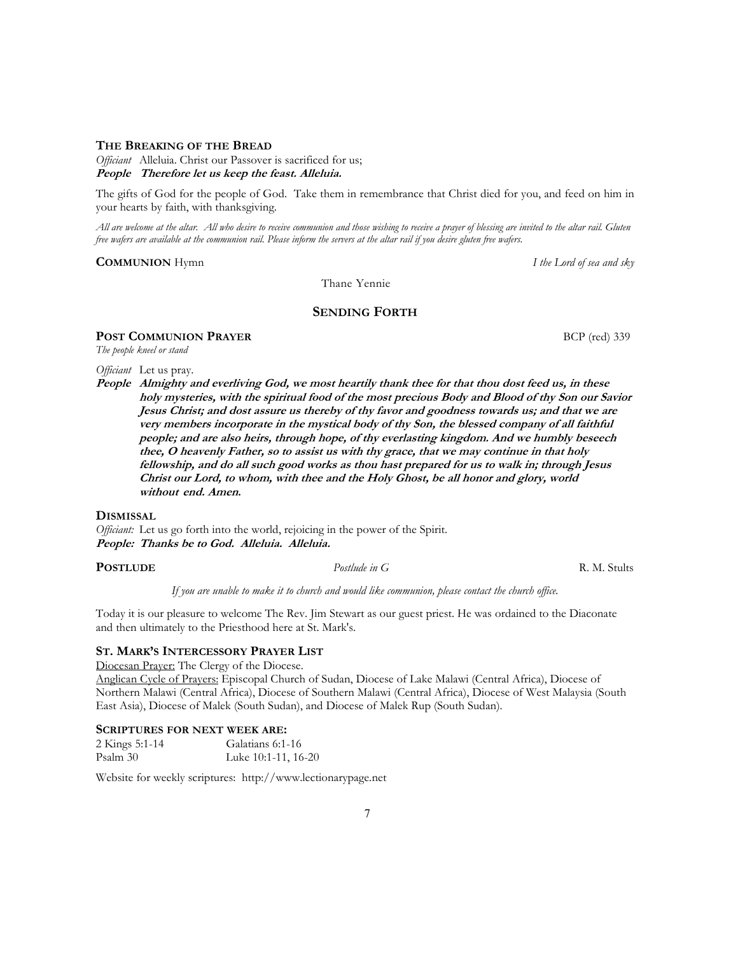# THE BREAKING OF THE BREAD

Officiant Alleluia. Christ our Passover is sacrificed for us; People Therefore let us keep the feast. Alleluia.

The gifts of God for the people of God. Take them in remembrance that Christ died for you, and feed on him in your hearts by faith, with thanksgiving.

 All are welcome at the altar. All who desire to receive communion and those wishing to receive a prayer of blessing are invited to the altar rail. Gluten free wafers are available at the communion rail. Please inform the servers at the altar rail if you desire gluten free wafers.

## **COMMUNION** Hymn **I** the Lord of sea and sky

Thane Yennie

# SENDING FORTH

## **POST COMMUNION PRAYER** BCP (red) 339

The people kneel or stand

## Officiant Let us pray.

People Almighty and everliving God, we most heartily thank thee for that thou dost feed us, in these holy mysteries, with the spiritual food of the most precious Body and Blood of thy Son our Savior Jesus Christ; and dost assure us thereby of thy favor and goodness towards us; and that we are very members incorporate in the mystical body of thy Son, the blessed company of all faithful people; and are also heirs, through hope, of thy everlasting kingdom. And we humbly beseech thee, O heavenly Father, so to assist us with thy grace, that we may continue in that holy fellowship, and do all such good works as thou hast prepared for us to walk in; through Jesus Christ our Lord, to whom, with thee and the Holy Ghost, be all honor and glory, world without end. Amen.

# **DISMISSAL**

Officiant: Let us go forth into the world, rejoicing in the power of the Spirit. People: Thanks be to God. Alleluia. Alleluia.

**POSTLUDE** Postlude in  $G$  R. M. Stults

If you are unable to make it to church and would like communion, please contact the church office.

Today it is our pleasure to welcome The Rev. Jim Stewart as our guest priest. He was ordained to the Diaconate and then ultimately to the Priesthood here at St. Mark's.

## ST. MARK'S INTERCESSORY PRAYER LIST

Diocesan Prayer: The Clergy of the Diocese.

Anglican Cycle of Prayers: Episcopal Church of Sudan, Diocese of Lake Malawi (Central Africa), Diocese of Northern Malawi (Central Africa), Diocese of Southern Malawi (Central Africa), Diocese of West Malaysia (South East Asia), Diocese of Malek (South Sudan), and Diocese of Malek Rup (South Sudan).

# SCRIPTURES FOR NEXT WEEK ARE:

| 2 Kings 5:1-14 | Galatians 6:1-16    |
|----------------|---------------------|
| Psalm 30       | Luke 10:1-11, 16-20 |

Website for weekly scriptures: http://www.lectionarypage.net